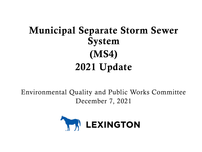# Municipal Separate Storm Sewer System (MS4) 2021 Update

Environmental Quality and Public Works Committee December 7, 2021

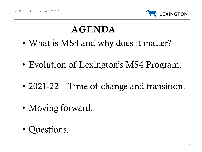

# AGENDA

- What is MS4 and why does it matter?
- Evolution of Lexington's MS4 Program.
- 2021-22 Time of change and transition.
- Moving forward.
- Questions.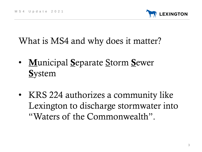

What is MS4 and why does it matter?

- Municipal Separate Storm Sewer **System**
- KRS 224 authorizes a community like Lexington to discharge stormwater into "Waters of the Commonwealth".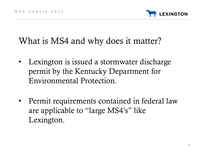

# What is MS4 and why does it matter?

- Lexington is issued a stormwater discharge permit by the Kentucky Department for Environmental Protection.
- Permit requirements contained in federal law are applicable to "large MS4's" like Lexington.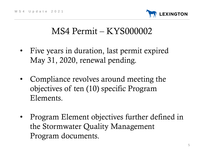

## MS4 Permit – KYS000002

- Five years in duration, last permit expired May 31, 2020, renewal pending.
- Compliance revolves around meeting the objectives of ten (10) specific Program Elements.
- Program Element objectives further defined in the Stormwater Quality Management Program documents.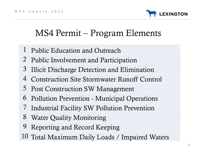**EXINGTON** 

# MS4 Permit – Program Elements

- Public Education and Outreach
- Public Involvement and Participation
- Illicit Discharge Detection and Elimination
- Construction Site Stormwater Runoff Control
- Post Construction SW Management
- Pollution Prevention Municipal Operations
- Industrial Facility SW Pollution Prevention
- Water Quality Monitoring
- Reporting and Record Keeping
- Total Maximum Daily Loads / Impaired Waters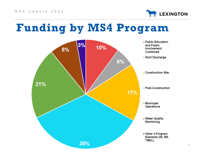

# **Funding by MS4 Program**

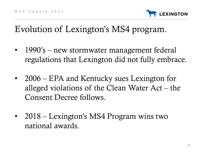

## Evolution of Lexington's MS4 program.

- 1990's new stormwater management federal regulations that Lexington did not fully embrace.
- 2006 EPA and Kentucky sues Lexington for alleged violations of the Clean Water Act – the Consent Decree follows.
- 2018 Lexington's MS4 Program wins two national awards.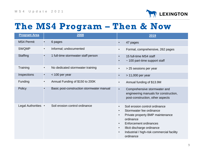

### **The MS4 Program – Then & Now**

| <b>Program Area</b> |           | 2008                                      | 2019                                                                                                                                                                                                                                                                                                          |
|---------------------|-----------|-------------------------------------------|---------------------------------------------------------------------------------------------------------------------------------------------------------------------------------------------------------------------------------------------------------------------------------------------------------------|
| <b>MS4 Permit</b>   |           | 6 pages                                   | 47 pages<br>$\bullet$                                                                                                                                                                                                                                                                                         |
| <b>SWQMP</b>        | $\bullet$ | Informal; undocumented                    | Formal, comprehensive, 262 pages<br>$\bullet$                                                                                                                                                                                                                                                                 |
| <b>Staffing</b>     |           | 1 full-time stormwater staff person       | 15 full-time MS4 staff<br>$\bullet$<br>$\sim$ 100 part-time support staff<br>$\bullet$                                                                                                                                                                                                                        |
| Training            |           | No dedicated stormwater training          | > 25 sessions per year<br>$\bullet$                                                                                                                                                                                                                                                                           |
| Inspections         |           | < 100 per year                            | $> 11,000$ per year<br>$\bullet$                                                                                                                                                                                                                                                                              |
| Funding             | $\bullet$ | Annual Funding of \$150 to 200K           | Annual funding of \$13.9M                                                                                                                                                                                                                                                                                     |
| Policy              |           | Basic post-construction stormwater manual | Comprehensive stormwater and<br>$\bullet$<br>engineering manuals for construction,<br>post-construction, other aspects                                                                                                                                                                                        |
| Legal Authorities • |           | Soil erosion control ordinance            | Soil erosion control ordinance<br>$\bullet$<br>Stormwater fee ordinance<br>$\bullet$<br>Private property BMP maintenance<br>$\bullet$<br>ordinance<br>Enforcement ordinances<br>$\bullet$<br>Illicit discharge ordinance<br>$\bullet$<br>Industrial / high-risk commercial facility<br>$\bullet$<br>ordinance |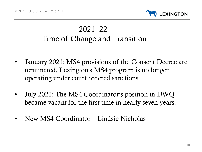

#### 2021 -22 Time of Change and Transition

- January 2021: MS4 provisions of the Consent Decree are terminated, Lexington's MS4 program is no longer operating under court ordered sanctions.
- July 2021: The MS4 Coordinator's position in DWQ became vacant for the first time in nearly seven years.
- New MS4 Coordinator Lindsie Nicholas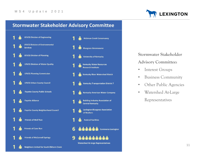

#### **Stormwater Stakeholder Advisory Committee**





#### **Stormwater Stakeholder Advisory Committee:**

- Interest Groups
- Business Community
- Other Public Agencies
- Watershed At-Large Representatives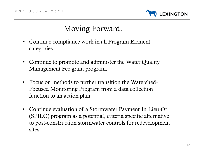

### Moving Forward.

- Continue compliance work in all Program Element categories.
- Continue to promote and administer the Water Quality Management Fee grant program.
- Focus on methods to further transition the Watershed-Focused Monitoring Program from a data collection function to an action plan.
- Continue evaluation of a Stormwater Payment-In-Lieu-Of (SPILO) program as a potential, criteria specific alternative to post-construction stormwater controls for redevelopment sites.